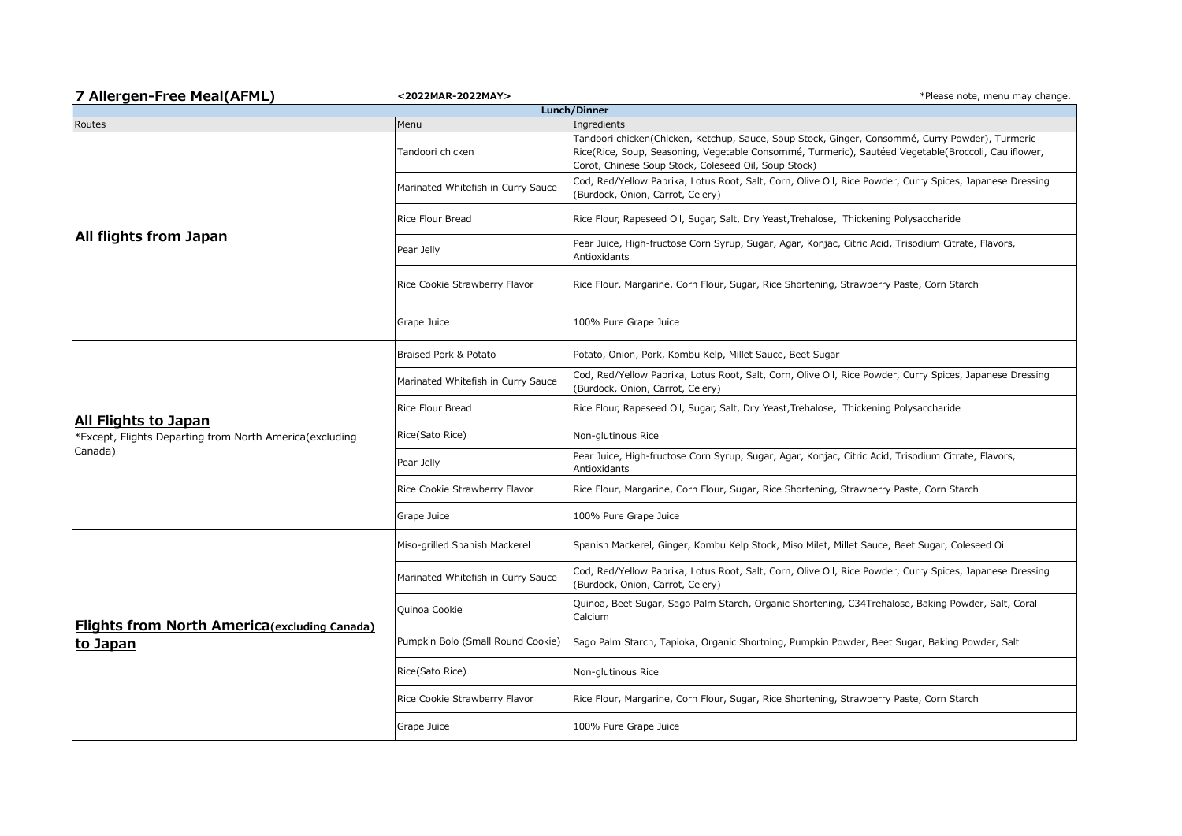| 7 Allergen-Free Meal(AFML)                                                                 | <2022MAR-2022MAY>                  | *Please note, menu may change.                                                                                                                                                                                                                                 |  |  |
|--------------------------------------------------------------------------------------------|------------------------------------|----------------------------------------------------------------------------------------------------------------------------------------------------------------------------------------------------------------------------------------------------------------|--|--|
| Lunch/Dinner                                                                               |                                    |                                                                                                                                                                                                                                                                |  |  |
| Routes                                                                                     | Menu                               | Ingredients                                                                                                                                                                                                                                                    |  |  |
| All flights from Japan                                                                     | Tandoori chicken                   | Tandoori chicken(Chicken, Ketchup, Sauce, Soup Stock, Ginger, Consommé, Curry Powder), Turmeric<br>Rice(Rice, Soup, Seasoning, Vegetable Consommé, Turmeric), Sautéed Vegetable(Broccoli, Cauliflower,<br>Corot, Chinese Soup Stock, Coleseed Oil, Soup Stock) |  |  |
|                                                                                            | Marinated Whitefish in Curry Sauce | Cod, Red/Yellow Paprika, Lotus Root, Salt, Corn, Olive Oil, Rice Powder, Curry Spices, Japanese Dressing<br>(Burdock, Onion, Carrot, Celery)                                                                                                                   |  |  |
|                                                                                            | Rice Flour Bread                   | Rice Flour, Rapeseed Oil, Sugar, Salt, Dry Yeast, Trehalose, Thickening Polysaccharide                                                                                                                                                                         |  |  |
|                                                                                            | Pear Jelly                         | Pear Juice, High-fructose Corn Syrup, Sugar, Agar, Konjac, Citric Acid, Trisodium Citrate, Flavors,<br>Antioxidants                                                                                                                                            |  |  |
|                                                                                            | Rice Cookie Strawberry Flavor      | Rice Flour, Margarine, Corn Flour, Sugar, Rice Shortening, Strawberry Paste, Corn Starch                                                                                                                                                                       |  |  |
|                                                                                            | Grape Juice                        | 100% Pure Grape Juice                                                                                                                                                                                                                                          |  |  |
| All Flights to Japan<br>*Except, Flights Departing from North America(excluding<br>Canada) | Braised Pork & Potato              | Potato, Onion, Pork, Kombu Kelp, Millet Sauce, Beet Sugar                                                                                                                                                                                                      |  |  |
|                                                                                            | Marinated Whitefish in Curry Sauce | Cod, Red/Yellow Paprika, Lotus Root, Salt, Corn, Olive Oil, Rice Powder, Curry Spices, Japanese Dressing<br>(Burdock, Onion, Carrot, Celery)                                                                                                                   |  |  |
|                                                                                            | <b>Rice Flour Bread</b>            | Rice Flour, Rapeseed Oil, Sugar, Salt, Dry Yeast, Trehalose, Thickening Polysaccharide                                                                                                                                                                         |  |  |
|                                                                                            | Rice(Sato Rice)                    | Non-glutinous Rice                                                                                                                                                                                                                                             |  |  |
|                                                                                            | Pear Jelly                         | Pear Juice, High-fructose Corn Syrup, Sugar, Agar, Konjac, Citric Acid, Trisodium Citrate, Flavors,<br>Antioxidants                                                                                                                                            |  |  |
|                                                                                            | Rice Cookie Strawberry Flavor      | Rice Flour, Margarine, Corn Flour, Sugar, Rice Shortening, Strawberry Paste, Corn Starch                                                                                                                                                                       |  |  |
|                                                                                            | Grape Juice                        | 100% Pure Grape Juice                                                                                                                                                                                                                                          |  |  |
| <b>Flights from North America</b> (excluding Canada)<br>to Japan                           | Miso-grilled Spanish Mackerel      | Spanish Mackerel, Ginger, Kombu Kelp Stock, Miso Milet, Millet Sauce, Beet Sugar, Coleseed Oil                                                                                                                                                                 |  |  |
|                                                                                            | Marinated Whitefish in Curry Sauce | Cod, Red/Yellow Paprika, Lotus Root, Salt, Corn, Olive Oil, Rice Powder, Curry Spices, Japanese Dressing<br>(Burdock, Onion, Carrot, Celery)                                                                                                                   |  |  |
|                                                                                            | Quinoa Cookie                      | Quinoa, Beet Sugar, Sago Palm Starch, Organic Shortening, C34Trehalose, Baking Powder, Salt, Coral<br>Calcium                                                                                                                                                  |  |  |
|                                                                                            | Pumpkin Bolo (Small Round Cookie)  | Sago Palm Starch, Tapioka, Organic Shortning, Pumpkin Powder, Beet Sugar, Baking Powder, Salt                                                                                                                                                                  |  |  |
|                                                                                            | Rice(Sato Rice)                    | Non-glutinous Rice                                                                                                                                                                                                                                             |  |  |
|                                                                                            | Rice Cookie Strawberry Flavor      | Rice Flour, Margarine, Corn Flour, Sugar, Rice Shortening, Strawberry Paste, Corn Starch                                                                                                                                                                       |  |  |
|                                                                                            | Grape Juice                        | 100% Pure Grape Juice                                                                                                                                                                                                                                          |  |  |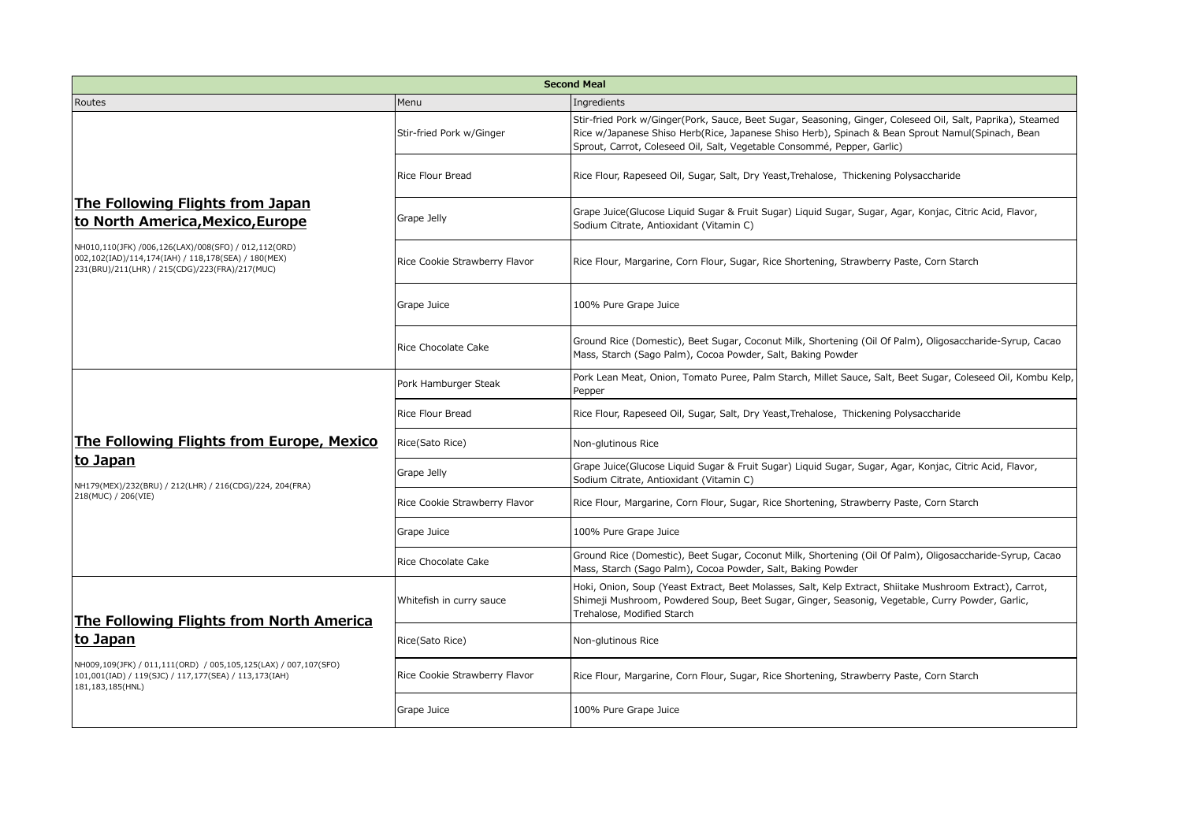| <b>Second Meal</b>                                                                                                                                                                                                                    |                               |                                                                                                                                                                                                                                                                                           |  |  |
|---------------------------------------------------------------------------------------------------------------------------------------------------------------------------------------------------------------------------------------|-------------------------------|-------------------------------------------------------------------------------------------------------------------------------------------------------------------------------------------------------------------------------------------------------------------------------------------|--|--|
| Routes                                                                                                                                                                                                                                | Menu                          | Ingredients                                                                                                                                                                                                                                                                               |  |  |
| The Following Flights from Japan<br>to North America, Mexico, Europe<br>NH010,110(JFK) /006,126(LAX)/008(SFO) / 012,112(ORD)<br>002,102(IAD)/114,174(IAH) / 118,178(SEA) / 180(MEX)<br>231(BRU)/211(LHR) / 215(CDG)/223(FRA)/217(MUC) | Stir-fried Pork w/Ginger      | Stir-fried Pork w/Ginger(Pork, Sauce, Beet Sugar, Seasoning, Ginger, Coleseed Oil, Salt, Paprika), Steamed<br>Rice w/Japanese Shiso Herb(Rice, Japanese Shiso Herb), Spinach & Bean Sprout Namul(Spinach, Bean<br>Sprout, Carrot, Coleseed Oil, Salt, Vegetable Consommé, Pepper, Garlic) |  |  |
|                                                                                                                                                                                                                                       | Rice Flour Bread              | Rice Flour, Rapeseed Oil, Sugar, Salt, Dry Yeast, Trehalose, Thickening Polysaccharide                                                                                                                                                                                                    |  |  |
|                                                                                                                                                                                                                                       | Grape Jelly                   | Grape Juice (Glucose Liguid Sugar & Fruit Sugar) Liguid Sugar, Sugar, Agar, Konjac, Citric Acid, Flavor,<br>Sodium Citrate, Antioxidant (Vitamin C)                                                                                                                                       |  |  |
|                                                                                                                                                                                                                                       | Rice Cookie Strawberry Flavor | Rice Flour, Margarine, Corn Flour, Sugar, Rice Shortening, Strawberry Paste, Corn Starch                                                                                                                                                                                                  |  |  |
|                                                                                                                                                                                                                                       | Grape Juice                   | 100% Pure Grape Juice                                                                                                                                                                                                                                                                     |  |  |
|                                                                                                                                                                                                                                       | Rice Chocolate Cake           | Ground Rice (Domestic), Beet Sugar, Coconut Milk, Shortening (Oil Of Palm), Oligosaccharide-Syrup, Cacao<br>Mass, Starch (Sago Palm), Cocoa Powder, Salt, Baking Powder                                                                                                                   |  |  |
| The Following Flights from Europe, Mexico<br>to Japan<br>NH179(MEX)/232(BRU) / 212(LHR) / 216(CDG)/224, 204(FRA)<br>218(MUC) / 206(VIE)                                                                                               | Pork Hamburger Steak          | Pork Lean Meat, Onion, Tomato Puree, Palm Starch, Millet Sauce, Salt, Beet Sugar, Coleseed Oil, Kombu Kelp,<br>Pepper                                                                                                                                                                     |  |  |
|                                                                                                                                                                                                                                       | <b>Rice Flour Bread</b>       | Rice Flour, Rapeseed Oil, Sugar, Salt, Dry Yeast, Trehalose, Thickening Polysaccharide                                                                                                                                                                                                    |  |  |
|                                                                                                                                                                                                                                       | Rice(Sato Rice)               | Non-glutinous Rice                                                                                                                                                                                                                                                                        |  |  |
|                                                                                                                                                                                                                                       | Grape Jelly                   | Grape Juice(Glucose Liquid Sugar & Fruit Sugar) Liquid Sugar, Sugar, Agar, Konjac, Citric Acid, Flavor,<br>Sodium Citrate, Antioxidant (Vitamin C)                                                                                                                                        |  |  |
|                                                                                                                                                                                                                                       | Rice Cookie Strawberry Flavor | Rice Flour, Margarine, Corn Flour, Sugar, Rice Shortening, Strawberry Paste, Corn Starch                                                                                                                                                                                                  |  |  |
|                                                                                                                                                                                                                                       | Grape Juice                   | 100% Pure Grape Juice                                                                                                                                                                                                                                                                     |  |  |
|                                                                                                                                                                                                                                       | Rice Chocolate Cake           | Ground Rice (Domestic), Beet Sugar, Coconut Milk, Shortening (Oil Of Palm), Oligosaccharide-Syrup, Cacao<br>Mass, Starch (Sago Palm), Cocoa Powder, Salt, Baking Powder                                                                                                                   |  |  |
| The Following Flights from North America<br>lto Japan<br>NH009,109(JFK) / 011,111(ORD) / 005,105,125(LAX) / 007,107(SFO)<br>101,001(IAD) / 119(SJC) / 117,177(SEA) / 113,173(IAH)<br>181,183,185(HNL)                                 | Whitefish in curry sauce      | Hoki, Onion, Soup (Yeast Extract, Beet Molasses, Salt, Kelp Extract, Shiitake Mushroom Extract), Carrot,<br>Shimeji Mushroom, Powdered Soup, Beet Sugar, Ginger, Seasonig, Vegetable, Curry Powder, Garlic,<br>Trehalose, Modified Starch                                                 |  |  |
|                                                                                                                                                                                                                                       | Rice(Sato Rice)               | Non-glutinous Rice                                                                                                                                                                                                                                                                        |  |  |
|                                                                                                                                                                                                                                       | Rice Cookie Strawberry Flavor | Rice Flour, Margarine, Corn Flour, Sugar, Rice Shortening, Strawberry Paste, Corn Starch                                                                                                                                                                                                  |  |  |
|                                                                                                                                                                                                                                       | Grape Juice                   | 100% Pure Grape Juice                                                                                                                                                                                                                                                                     |  |  |